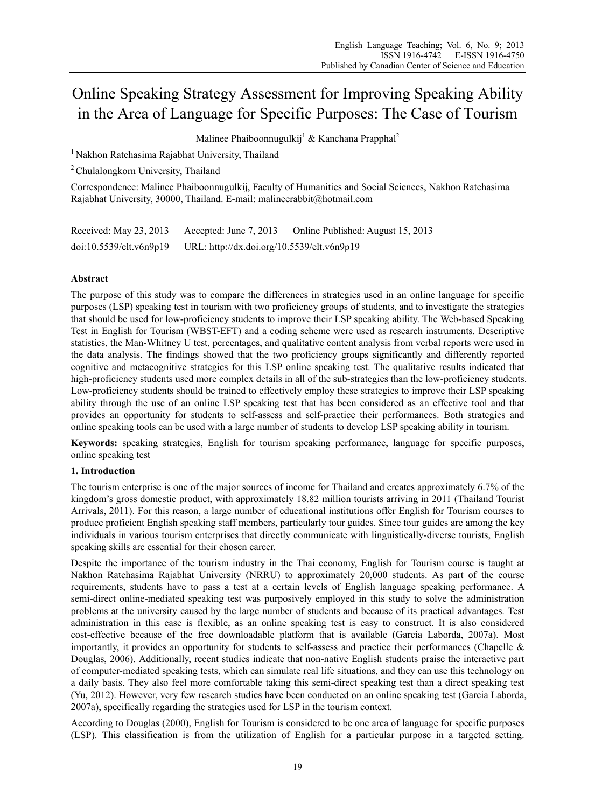# Online Speaking Strategy Assessment for Improving Speaking Ability in the Area of Language for Specific Purposes: The Case of Tourism

Malinee Phaiboonnugulkij<sup>1</sup> & Kanchana Prapphal<sup>2</sup>

<sup>1</sup> Nakhon Ratchasima Rajabhat University, Thailand

2 Chulalongkorn University, Thailand

Correspondence: Malinee Phaiboonnugulkij, Faculty of Humanities and Social Sciences, Nakhon Ratchasima Rajabhat University, 30000, Thailand. E-mail: malineerabbit@hotmail.com

| Received: May 23, 2013  | Accepted: June $7, 2013$                   | Online Published: August 15, 2013 |
|-------------------------|--------------------------------------------|-----------------------------------|
| doi:10.5539/elt.v6n9p19 | URL: http://dx.doi.org/10.5539/elt.v6n9p19 |                                   |

## **Abstract**

The purpose of this study was to compare the differences in strategies used in an online language for specific purposes (LSP) speaking test in tourism with two proficiency groups of students, and to investigate the strategies that should be used for low-proficiency students to improve their LSP speaking ability. The Web-based Speaking Test in English for Tourism (WBST-EFT) and a coding scheme were used as research instruments. Descriptive statistics, the Man-Whitney U test, percentages, and qualitative content analysis from verbal reports were used in the data analysis. The findings showed that the two proficiency groups significantly and differently reported cognitive and metacognitive strategies for this LSP online speaking test. The qualitative results indicated that high-proficiency students used more complex details in all of the sub-strategies than the low-proficiency students. Low-proficiency students should be trained to effectively employ these strategies to improve their LSP speaking ability through the use of an online LSP speaking test that has been considered as an effective tool and that provides an opportunity for students to self-assess and self-practice their performances. Both strategies and online speaking tools can be used with a large number of students to develop LSP speaking ability in tourism.

**Keywords:** speaking strategies, English for tourism speaking performance, language for specific purposes, online speaking test

## **1. Introduction**

The tourism enterprise is one of the major sources of income for Thailand and creates approximately 6.7% of the kingdom's gross domestic product, with approximately 18.82 million tourists arriving in 2011 (Thailand Tourist Arrivals, 2011). For this reason, a large number of educational institutions offer English for Tourism courses to produce proficient English speaking staff members, particularly tour guides. Since tour guides are among the key individuals in various tourism enterprises that directly communicate with linguistically-diverse tourists, English speaking skills are essential for their chosen career.

Despite the importance of the tourism industry in the Thai economy, English for Tourism course is taught at Nakhon Ratchasima Rajabhat University (NRRU) to approximately 20,000 students. As part of the course requirements, students have to pass a test at a certain levels of English language speaking performance. A semi-direct online-mediated speaking test was purposively employed in this study to solve the administration problems at the university caused by the large number of students and because of its practical advantages. Test administration in this case is flexible, as an online speaking test is easy to construct. It is also considered cost-effective because of the free downloadable platform that is available (Garcia Laborda, 2007a). Most importantly, it provides an opportunity for students to self-assess and practice their performances (Chapelle & Douglas, 2006). Additionally, recent studies indicate that non-native English students praise the interactive part of computer-mediated speaking tests, which can simulate real life situations, and they can use this technology on a daily basis. They also feel more comfortable taking this semi-direct speaking test than a direct speaking test (Yu, 2012). However, very few research studies have been conducted on an online speaking test (Garcia Laborda, 2007a), specifically regarding the strategies used for LSP in the tourism context.

According to Douglas (2000), English for Tourism is considered to be one area of language for specific purposes (LSP). This classification is from the utilization of English for a particular purpose in a targeted setting.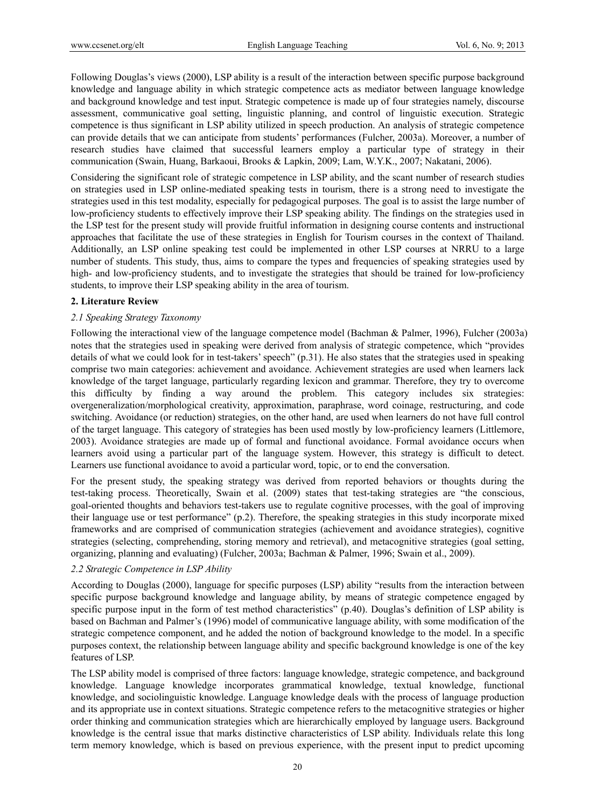Following Douglas's views (2000), LSP ability is a result of the interaction between specific purpose background knowledge and language ability in which strategic competence acts as mediator between language knowledge and background knowledge and test input. Strategic competence is made up of four strategies namely, discourse assessment, communicative goal setting, linguistic planning, and control of linguistic execution. Strategic competence is thus significant in LSP ability utilized in speech production. An analysis of strategic competence can provide details that we can anticipate from students' performances (Fulcher, 2003a). Moreover, a number of research studies have claimed that successful learners employ a particular type of strategy in their communication (Swain, Huang, Barkaoui, Brooks & Lapkin, 2009; Lam, W.Y.K., 2007; Nakatani, 2006).

Considering the significant role of strategic competence in LSP ability, and the scant number of research studies on strategies used in LSP online-mediated speaking tests in tourism, there is a strong need to investigate the strategies used in this test modality, especially for pedagogical purposes. The goal is to assist the large number of low-proficiency students to effectively improve their LSP speaking ability. The findings on the strategies used in the LSP test for the present study will provide fruitful information in designing course contents and instructional approaches that facilitate the use of these strategies in English for Tourism courses in the context of Thailand. Additionally, an LSP online speaking test could be implemented in other LSP courses at NRRU to a large number of students. This study, thus, aims to compare the types and frequencies of speaking strategies used by high- and low-proficiency students, and to investigate the strategies that should be trained for low-proficiency students, to improve their LSP speaking ability in the area of tourism.

#### **2. Literature Review**

### *2.1 Speaking Strategy Taxonomy*

Following the interactional view of the language competence model (Bachman & Palmer, 1996), Fulcher (2003a) notes that the strategies used in speaking were derived from analysis of strategic competence, which "provides details of what we could look for in test-takers' speech" (p.31). He also states that the strategies used in speaking comprise two main categories: achievement and avoidance. Achievement strategies are used when learners lack knowledge of the target language, particularly regarding lexicon and grammar. Therefore, they try to overcome this difficulty by finding a way around the problem. This category includes six strategies: overgeneralization/morphological creativity, approximation, paraphrase, word coinage, restructuring, and code switching. Avoidance (or reduction) strategies, on the other hand, are used when learners do not have full control of the target language. This category of strategies has been used mostly by low-proficiency learners (Littlemore, 2003). Avoidance strategies are made up of formal and functional avoidance. Formal avoidance occurs when learners avoid using a particular part of the language system. However, this strategy is difficult to detect. Learners use functional avoidance to avoid a particular word, topic, or to end the conversation.

For the present study, the speaking strategy was derived from reported behaviors or thoughts during the test-taking process. Theoretically, Swain et al. (2009) states that test-taking strategies are "the conscious, goal-oriented thoughts and behaviors test-takers use to regulate cognitive processes, with the goal of improving their language use or test performance" (p.2). Therefore, the speaking strategies in this study incorporate mixed frameworks and are comprised of communication strategies (achievement and avoidance strategies), cognitive strategies (selecting, comprehending, storing memory and retrieval), and metacognitive strategies (goal setting, organizing, planning and evaluating) (Fulcher, 2003a; Bachman & Palmer, 1996; Swain et al., 2009).

### *2.2 Strategic Competence in LSP Ability*

According to Douglas (2000), language for specific purposes (LSP) ability "results from the interaction between specific purpose background knowledge and language ability, by means of strategic competence engaged by specific purpose input in the form of test method characteristics" (p.40). Douglas's definition of LSP ability is based on Bachman and Palmer's (1996) model of communicative language ability, with some modification of the strategic competence component, and he added the notion of background knowledge to the model. In a specific purposes context, the relationship between language ability and specific background knowledge is one of the key features of LSP.

The LSP ability model is comprised of three factors: language knowledge, strategic competence, and background knowledge. Language knowledge incorporates grammatical knowledge, textual knowledge, functional knowledge, and sociolinguistic knowledge. Language knowledge deals with the process of language production and its appropriate use in context situations. Strategic competence refers to the metacognitive strategies or higher order thinking and communication strategies which are hierarchically employed by language users. Background knowledge is the central issue that marks distinctive characteristics of LSP ability. Individuals relate this long term memory knowledge, which is based on previous experience, with the present input to predict upcoming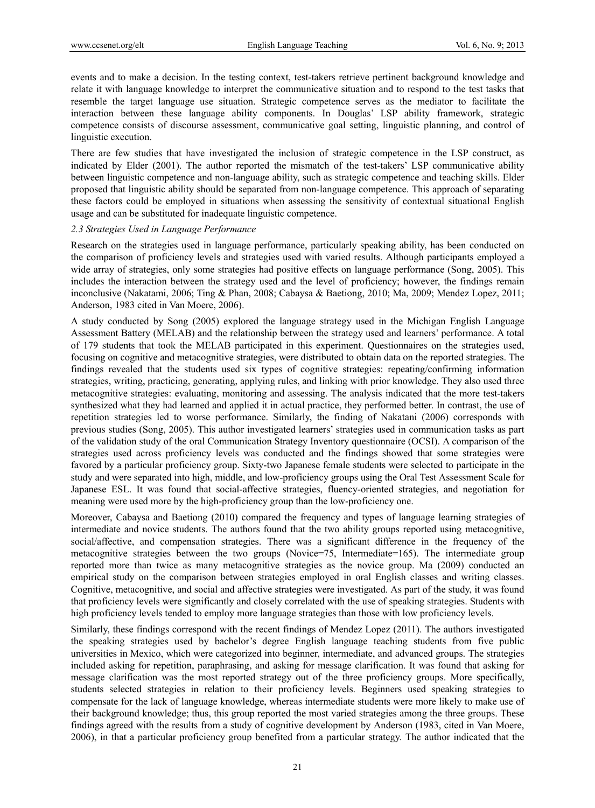events and to make a decision. In the testing context, test-takers retrieve pertinent background knowledge and relate it with language knowledge to interpret the communicative situation and to respond to the test tasks that resemble the target language use situation. Strategic competence serves as the mediator to facilitate the interaction between these language ability components. In Douglas' LSP ability framework, strategic competence consists of discourse assessment, communicative goal setting, linguistic planning, and control of linguistic execution.

There are few studies that have investigated the inclusion of strategic competence in the LSP construct, as indicated by Elder (2001). The author reported the mismatch of the test-takers' LSP communicative ability between linguistic competence and non-language ability, such as strategic competence and teaching skills. Elder proposed that linguistic ability should be separated from non-language competence. This approach of separating these factors could be employed in situations when assessing the sensitivity of contextual situational English usage and can be substituted for inadequate linguistic competence.

#### *2.3 Strategies Used in Language Performance*

Research on the strategies used in language performance, particularly speaking ability, has been conducted on the comparison of proficiency levels and strategies used with varied results. Although participants employed a wide array of strategies, only some strategies had positive effects on language performance (Song, 2005). This includes the interaction between the strategy used and the level of proficiency; however, the findings remain inconclusive (Nakatami, 2006; Ting & Phan, 2008; Cabaysa & Baetiong, 2010; Ma, 2009; Mendez Lopez, 2011; Anderson, 1983 cited in Van Moere, 2006).

A study conducted by Song (2005) explored the language strategy used in the Michigan English Language Assessment Battery (MELAB) and the relationship between the strategy used and learners' performance. A total of 179 students that took the MELAB participated in this experiment. Questionnaires on the strategies used, focusing on cognitive and metacognitive strategies, were distributed to obtain data on the reported strategies. The findings revealed that the students used six types of cognitive strategies: repeating/confirming information strategies, writing, practicing, generating, applying rules, and linking with prior knowledge. They also used three metacognitive strategies: evaluating, monitoring and assessing. The analysis indicated that the more test-takers synthesized what they had learned and applied it in actual practice, they performed better. In contrast, the use of repetition strategies led to worse performance. Similarly, the finding of Nakatani (2006) corresponds with previous studies (Song, 2005). This author investigated learners' strategies used in communication tasks as part of the validation study of the oral Communication Strategy Inventory questionnaire (OCSI). A comparison of the strategies used across proficiency levels was conducted and the findings showed that some strategies were favored by a particular proficiency group. Sixty-two Japanese female students were selected to participate in the study and were separated into high, middle, and low-proficiency groups using the Oral Test Assessment Scale for Japanese ESL. It was found that social-affective strategies, fluency-oriented strategies, and negotiation for meaning were used more by the high-proficiency group than the low-proficiency one.

Moreover, Cabaysa and Baetiong (2010) compared the frequency and types of language learning strategies of intermediate and novice students. The authors found that the two ability groups reported using metacognitive, social/affective, and compensation strategies. There was a significant difference in the frequency of the metacognitive strategies between the two groups (Novice=75, Intermediate=165). The intermediate group reported more than twice as many metacognitive strategies as the novice group. Ma (2009) conducted an empirical study on the comparison between strategies employed in oral English classes and writing classes. Cognitive, metacognitive, and social and affective strategies were investigated. As part of the study, it was found that proficiency levels were significantly and closely correlated with the use of speaking strategies. Students with high proficiency levels tended to employ more language strategies than those with low proficiency levels.

Similarly, these findings correspond with the recent findings of Mendez Lopez (2011). The authors investigated the speaking strategies used by bachelor's degree English language teaching students from five public universities in Mexico, which were categorized into beginner, intermediate, and advanced groups. The strategies included asking for repetition, paraphrasing, and asking for message clarification. It was found that asking for message clarification was the most reported strategy out of the three proficiency groups. More specifically, students selected strategies in relation to their proficiency levels. Beginners used speaking strategies to compensate for the lack of language knowledge, whereas intermediate students were more likely to make use of their background knowledge; thus, this group reported the most varied strategies among the three groups. These findings agreed with the results from a study of cognitive development by Anderson (1983, cited in Van Moere, 2006), in that a particular proficiency group benefited from a particular strategy. The author indicated that the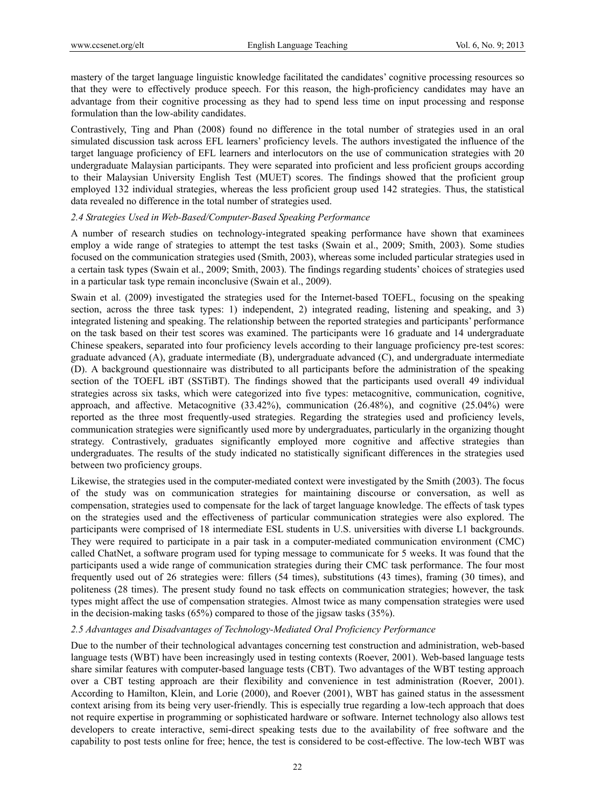mastery of the target language linguistic knowledge facilitated the candidates' cognitive processing resources so that they were to effectively produce speech. For this reason, the high-proficiency candidates may have an advantage from their cognitive processing as they had to spend less time on input processing and response formulation than the low-ability candidates.

Contrastively, Ting and Phan (2008) found no difference in the total number of strategies used in an oral simulated discussion task across EFL learners' proficiency levels. The authors investigated the influence of the target language proficiency of EFL learners and interlocutors on the use of communication strategies with 20 undergraduate Malaysian participants. They were separated into proficient and less proficient groups according to their Malaysian University English Test (MUET) scores. The findings showed that the proficient group employed 132 individual strategies, whereas the less proficient group used 142 strategies. Thus, the statistical data revealed no difference in the total number of strategies used.

#### *2.4 Strategies Used in Web-Based/Computer-Based Speaking Performance*

A number of research studies on technology-integrated speaking performance have shown that examinees employ a wide range of strategies to attempt the test tasks (Swain et al., 2009; Smith, 2003). Some studies focused on the communication strategies used (Smith, 2003), whereas some included particular strategies used in a certain task types (Swain et al., 2009; Smith, 2003). The findings regarding students' choices of strategies used in a particular task type remain inconclusive (Swain et al., 2009).

Swain et al. (2009) investigated the strategies used for the Internet-based TOEFL, focusing on the speaking section, across the three task types: 1) independent, 2) integrated reading, listening and speaking, and 3) integrated listening and speaking. The relationship between the reported strategies and participants' performance on the task based on their test scores was examined. The participants were 16 graduate and 14 undergraduate Chinese speakers, separated into four proficiency levels according to their language proficiency pre-test scores: graduate advanced (A), graduate intermediate (B), undergraduate advanced (C), and undergraduate intermediate (D). A background questionnaire was distributed to all participants before the administration of the speaking section of the TOEFL iBT (SSTiBT). The findings showed that the participants used overall 49 individual strategies across six tasks, which were categorized into five types: metacognitive, communication, cognitive, approach, and affective. Metacognitive (33.42%), communication (26.48%), and cognitive (25.04%) were reported as the three most frequently-used strategies. Regarding the strategies used and proficiency levels, communication strategies were significantly used more by undergraduates, particularly in the organizing thought strategy. Contrastively, graduates significantly employed more cognitive and affective strategies than undergraduates. The results of the study indicated no statistically significant differences in the strategies used between two proficiency groups.

Likewise, the strategies used in the computer-mediated context were investigated by the Smith (2003). The focus of the study was on communication strategies for maintaining discourse or conversation, as well as compensation, strategies used to compensate for the lack of target language knowledge. The effects of task types on the strategies used and the effectiveness of particular communication strategies were also explored. The participants were comprised of 18 intermediate ESL students in U.S. universities with diverse L1 backgrounds. They were required to participate in a pair task in a computer-mediated communication environment (CMC) called ChatNet, a software program used for typing message to communicate for 5 weeks. It was found that the participants used a wide range of communication strategies during their CMC task performance. The four most frequently used out of 26 strategies were: fillers (54 times), substitutions (43 times), framing (30 times), and politeness (28 times). The present study found no task effects on communication strategies; however, the task types might affect the use of compensation strategies. Almost twice as many compensation strategies were used in the decision-making tasks (65%) compared to those of the jigsaw tasks (35%).

### *2.5 Advantages and Disadvantages of Technology-Mediated Oral Proficiency Performance*

Due to the number of their technological advantages concerning test construction and administration, web-based language tests (WBT) have been increasingly used in testing contexts (Roever, 2001). Web-based language tests share similar features with computer-based language tests (CBT). Two advantages of the WBT testing approach over a CBT testing approach are their flexibility and convenience in test administration (Roever, 2001). According to Hamilton, Klein, and Lorie (2000), and Roever (2001), WBT has gained status in the assessment context arising from its being very user-friendly. This is especially true regarding a low-tech approach that does not require expertise in programming or sophisticated hardware or software. Internet technology also allows test developers to create interactive, semi-direct speaking tests due to the availability of free software and the capability to post tests online for free; hence, the test is considered to be cost-effective. The low-tech WBT was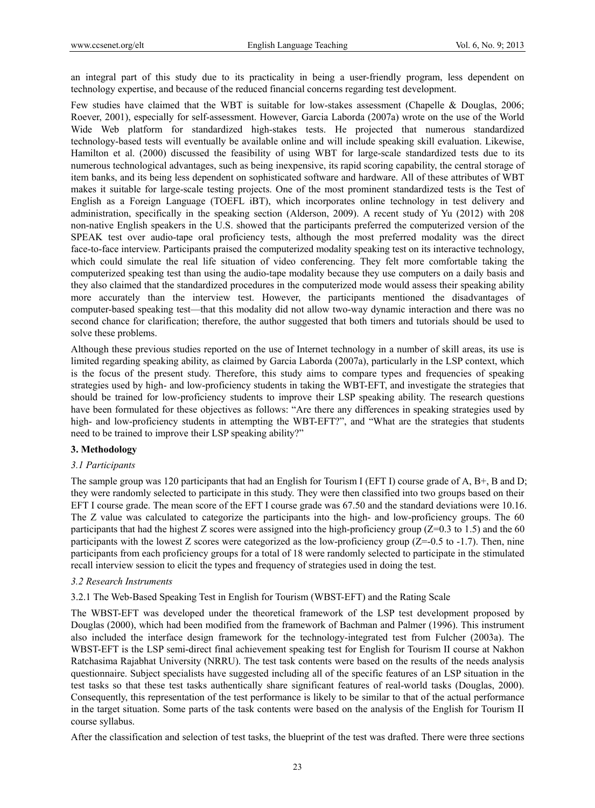an integral part of this study due to its practicality in being a user-friendly program, less dependent on technology expertise, and because of the reduced financial concerns regarding test development.

Few studies have claimed that the WBT is suitable for low-stakes assessment (Chapelle & Douglas, 2006; Roever, 2001), especially for self-assessment. However, Garcia Laborda (2007a) wrote on the use of the World Wide Web platform for standardized high-stakes tests. He projected that numerous standardized technology-based tests will eventually be available online and will include speaking skill evaluation. Likewise, Hamilton et al. (2000) discussed the feasibility of using WBT for large-scale standardized tests due to its numerous technological advantages, such as being inexpensive, its rapid scoring capability, the central storage of item banks, and its being less dependent on sophisticated software and hardware. All of these attributes of WBT makes it suitable for large-scale testing projects. One of the most prominent standardized tests is the Test of English as a Foreign Language (TOEFL iBT), which incorporates online technology in test delivery and administration, specifically in the speaking section (Alderson, 2009). A recent study of Yu (2012) with 208 non-native English speakers in the U.S. showed that the participants preferred the computerized version of the SPEAK test over audio-tape oral proficiency tests, although the most preferred modality was the direct face-to-face interview. Participants praised the computerized modality speaking test on its interactive technology, which could simulate the real life situation of video conferencing. They felt more comfortable taking the computerized speaking test than using the audio-tape modality because they use computers on a daily basis and they also claimed that the standardized procedures in the computerized mode would assess their speaking ability more accurately than the interview test. However, the participants mentioned the disadvantages of computer-based speaking test—that this modality did not allow two-way dynamic interaction and there was no second chance for clarification; therefore, the author suggested that both timers and tutorials should be used to solve these problems.

Although these previous studies reported on the use of Internet technology in a number of skill areas, its use is limited regarding speaking ability, as claimed by Garcia Laborda (2007a), particularly in the LSP context, which is the focus of the present study. Therefore, this study aims to compare types and frequencies of speaking strategies used by high- and low-proficiency students in taking the WBT-EFT, and investigate the strategies that should be trained for low-proficiency students to improve their LSP speaking ability. The research questions have been formulated for these objectives as follows: "Are there any differences in speaking strategies used by high- and low-proficiency students in attempting the WBT-EFT?", and "What are the strategies that students need to be trained to improve their LSP speaking ability?"

#### **3. Methodology**

#### *3.1 Participants*

The sample group was 120 participants that had an English for Tourism I (EFT I) course grade of A, B+, B and D; they were randomly selected to participate in this study. They were then classified into two groups based on their EFT I course grade. The mean score of the EFT I course grade was 67.50 and the standard deviations were 10.16. The Z value was calculated to categorize the participants into the high- and low-proficiency groups. The 60 participants that had the highest Z scores were assigned into the high-proficiency group ( $Z=0.3$  to 1.5) and the 60 participants with the lowest Z scores were categorized as the low-proficiency group (Z=-0.5 to -1.7). Then, nine participants from each proficiency groups for a total of 18 were randomly selected to participate in the stimulated recall interview session to elicit the types and frequency of strategies used in doing the test.

### *3.2 Research Instruments*

3.2.1 The Web-Based Speaking Test in English for Tourism (WBST-EFT) and the Rating Scale

The WBST-EFT was developed under the theoretical framework of the LSP test development proposed by Douglas (2000), which had been modified from the framework of Bachman and Palmer (1996). This instrument also included the interface design framework for the technology-integrated test from Fulcher (2003a). The WBST-EFT is the LSP semi-direct final achievement speaking test for English for Tourism II course at Nakhon Ratchasima Rajabhat University (NRRU). The test task contents were based on the results of the needs analysis questionnaire. Subject specialists have suggested including all of the specific features of an LSP situation in the test tasks so that these test tasks authentically share significant features of real-world tasks (Douglas, 2000). Consequently, this representation of the test performance is likely to be similar to that of the actual performance in the target situation. Some parts of the task contents were based on the analysis of the English for Tourism II course syllabus.

After the classification and selection of test tasks, the blueprint of the test was drafted. There were three sections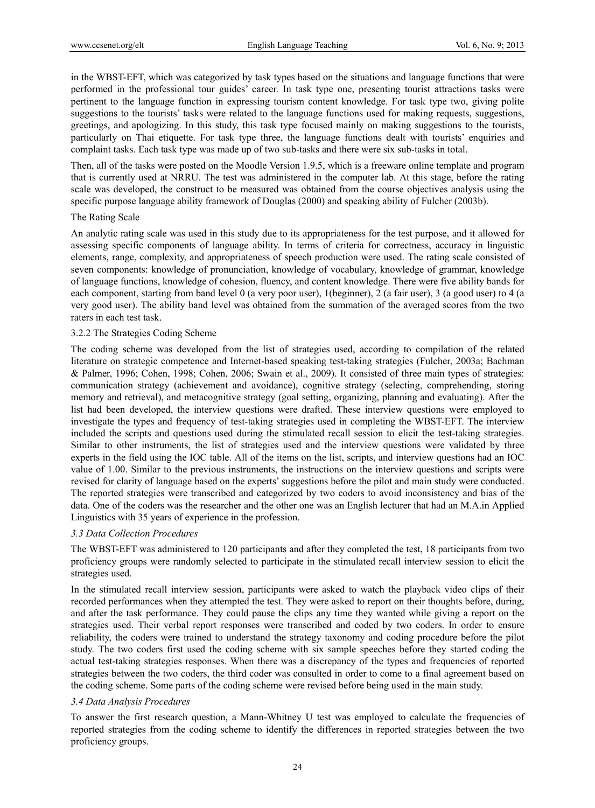in the WBST-EFT, which was categorized by task types based on the situations and language functions that were performed in the professional tour guides' career. In task type one, presenting tourist attractions tasks were pertinent to the language function in expressing tourism content knowledge. For task type two, giving polite suggestions to the tourists' tasks were related to the language functions used for making requests, suggestions, greetings, and apologizing. In this study, this task type focused mainly on making suggestions to the tourists, particularly on Thai etiquette. For task type three, the language functions dealt with tourists' enquiries and complaint tasks. Each task type was made up of two sub-tasks and there were six sub-tasks in total.

Then, all of the tasks were posted on the Moodle Version 1.9.5, which is a freeware online template and program that is currently used at NRRU. The test was administered in the computer lab. At this stage, before the rating scale was developed, the construct to be measured was obtained from the course objectives analysis using the specific purpose language ability framework of Douglas (2000) and speaking ability of Fulcher (2003b).

#### The Rating Scale

An analytic rating scale was used in this study due to its appropriateness for the test purpose, and it allowed for assessing specific components of language ability. In terms of criteria for correctness, accuracy in linguistic elements, range, complexity, and appropriateness of speech production were used. The rating scale consisted of seven components: knowledge of pronunciation, knowledge of vocabulary, knowledge of grammar, knowledge of language functions, knowledge of cohesion, fluency, and content knowledge. There were five ability bands for each component, starting from band level 0 (a very poor user), 1(beginner), 2 (a fair user), 3 (a good user) to 4 (a very good user). The ability band level was obtained from the summation of the averaged scores from the two raters in each test task.

#### 3.2.2 The Strategies Coding Scheme

The coding scheme was developed from the list of strategies used, according to compilation of the related literature on strategic competence and Internet-based speaking test-taking strategies (Fulcher, 2003a; Bachman & Palmer, 1996; Cohen, 1998; Cohen, 2006; Swain et al., 2009). It consisted of three main types of strategies: communication strategy (achievement and avoidance), cognitive strategy (selecting, comprehending, storing memory and retrieval), and metacognitive strategy (goal setting, organizing, planning and evaluating). After the list had been developed, the interview questions were drafted. These interview questions were employed to investigate the types and frequency of test-taking strategies used in completing the WBST-EFT. The interview included the scripts and questions used during the stimulated recall session to elicit the test-taking strategies. Similar to other instruments, the list of strategies used and the interview questions were validated by three experts in the field using the IOC table. All of the items on the list, scripts, and interview questions had an IOC value of 1.00. Similar to the previous instruments, the instructions on the interview questions and scripts were revised for clarity of language based on the experts' suggestions before the pilot and main study were conducted. The reported strategies were transcribed and categorized by two coders to avoid inconsistency and bias of the data. One of the coders was the researcher and the other one was an English lecturer that had an M.A.in Applied Linguistics with 35 years of experience in the profession.

### *3.3 Data Collection Procedures*

The WBST-EFT was administered to 120 participants and after they completed the test, 18 participants from two proficiency groups were randomly selected to participate in the stimulated recall interview session to elicit the strategies used.

In the stimulated recall interview session, participants were asked to watch the playback video clips of their recorded performances when they attempted the test. They were asked to report on their thoughts before, during, and after the task performance. They could pause the clips any time they wanted while giving a report on the strategies used. Their verbal report responses were transcribed and coded by two coders. In order to ensure reliability, the coders were trained to understand the strategy taxonomy and coding procedure before the pilot study. The two coders first used the coding scheme with six sample speeches before they started coding the actual test-taking strategies responses. When there was a discrepancy of the types and frequencies of reported strategies between the two coders, the third coder was consulted in order to come to a final agreement based on the coding scheme. Some parts of the coding scheme were revised before being used in the main study.

### *3.4 Data Analysis Procedures*

To answer the first research question, a Mann-Whitney U test was employed to calculate the frequencies of reported strategies from the coding scheme to identify the differences in reported strategies between the two proficiency groups.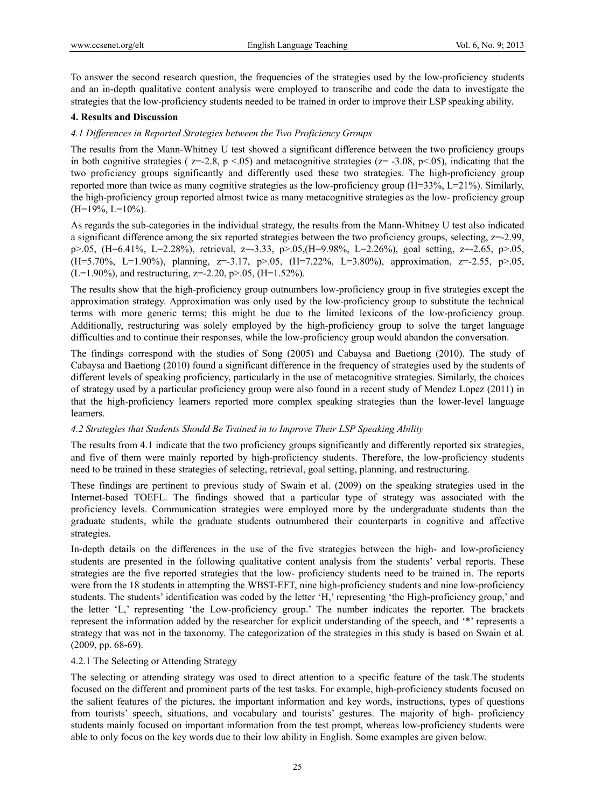To answer the second research question, the frequencies of the strategies used by the low-proficiency students and an in-depth qualitative content analysis were employed to transcribe and code the data to investigate the strategies that the low-proficiency students needed to be trained in order to improve their LSP speaking ability.

### **4. Results and Discussion**

## *4.1 Differences in Reported Strategies between the Two Proficiency Groups*

The results from the Mann-Whitney U test showed a significant difference between the two proficiency groups in both cognitive strategies ( $z=-2.8$ ,  $p < 0.05$ ) and metacognitive strategies ( $z=-3.08$ ,  $p < 0.05$ ), indicating that the two proficiency groups significantly and differently used these two strategies. The high-proficiency group reported more than twice as many cognitive strategies as the low-proficiency group (H=33%, L=21%). Similarly, the high-proficiency group reported almost twice as many metacognitive strategies as the low- proficiency group  $(H=19\%, L=10\%).$ 

As regards the sub-categories in the individual strategy, the results from the Mann-Whitney U test also indicated a significant difference among the six reported strategies between the two proficiency groups, selecting, z=-2.99, p>.05, (H=6.41%, L=2.28%), retrieval, z=-3.33, p>.05,(H=9.98%, L=2.26%), goal setting, z=-2.65, p>.05, (H=5.70%, L=1.90%), planning, z=-3.17, p>.05, (H=7.22%, L=3.80%), approximation, z=-2.55, p>.05,  $(L=1.90\%)$ , and restructuring, z=-2.20, p>.05, (H=1.52%).

The results show that the high-proficiency group outnumbers low-proficiency group in five strategies except the approximation strategy. Approximation was only used by the low-proficiency group to substitute the technical terms with more generic terms; this might be due to the limited lexicons of the low-proficiency group. Additionally, restructuring was solely employed by the high-proficiency group to solve the target language difficulties and to continue their responses, while the low-proficiency group would abandon the conversation.

The findings correspond with the studies of Song (2005) and Cabaysa and Baetiong (2010). The study of Cabaysa and Baetiong (2010) found a significant difference in the frequency of strategies used by the students of different levels of speaking proficiency, particularly in the use of metacognitive strategies. Similarly, the choices of strategy used by a particular proficiency group were also found in a recent study of Mendez Lopez (2011) in that the high-proficiency learners reported more complex speaking strategies than the lower-level language learners.

## *4.2 Strategies that Students Should Be Trained in to Improve Their LSP Speaking Ability*

The results from 4.1 indicate that the two proficiency groups significantly and differently reported six strategies, and five of them were mainly reported by high-proficiency students. Therefore, the low-proficiency students need to be trained in these strategies of selecting, retrieval, goal setting, planning, and restructuring.

These findings are pertinent to previous study of Swain et al. (2009) on the speaking strategies used in the Internet-based TOEFL. The findings showed that a particular type of strategy was associated with the proficiency levels. Communication strategies were employed more by the undergraduate students than the graduate students, while the graduate students outnumbered their counterparts in cognitive and affective strategies.

In-depth details on the differences in the use of the five strategies between the high- and low-proficiency students are presented in the following qualitative content analysis from the students' verbal reports. These strategies are the five reported strategies that the low- proficiency students need to be trained in. The reports were from the 18 students in attempting the WBST-EFT, nine high-proficiency students and nine low-proficiency students. The students' identification was coded by the letter 'H,' representing 'the High-proficiency group,' and the letter 'L,' representing 'the Low-proficiency group.' The number indicates the reporter. The brackets represent the information added by the researcher for explicit understanding of the speech, and '\*' represents a strategy that was not in the taxonomy. The categorization of the strategies in this study is based on Swain et al. (2009, pp. 68-69).

### 4.2.1 The Selecting or Attending Strategy

The selecting or attending strategy was used to direct attention to a specific feature of the task.The students focused on the different and prominent parts of the test tasks. For example, high-proficiency students focused on the salient features of the pictures, the important information and key words, instructions, types of questions from tourists' speech, situations, and vocabulary and tourists' gestures. The majority of high- proficiency students mainly focused on important information from the test prompt, whereas low-proficiency students were able to only focus on the key words due to their low ability in English. Some examples are given below.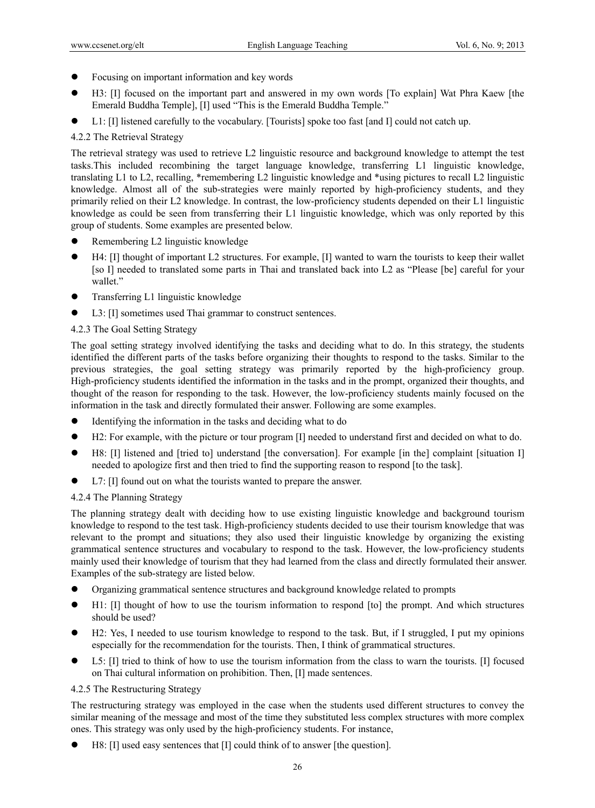- Focusing on important information and key words
- H3: [I] focused on the important part and answered in my own words [To explain] Wat Phra Kaew [the Emerald Buddha Temple], [I] used "This is the Emerald Buddha Temple."
- L1: [I] listened carefully to the vocabulary. [Tourists] spoke too fast [and I] could not catch up.

# 4.2.2 The Retrieval Strategy

The retrieval strategy was used to retrieve L2 linguistic resource and background knowledge to attempt the test tasks.This included recombining the target language knowledge, transferring L1 linguistic knowledge, translating L1 to L2, recalling, \*remembering L2 linguistic knowledge and \*using pictures to recall L2 linguistic knowledge. Almost all of the sub-strategies were mainly reported by high-proficiency students, and they primarily relied on their L2 knowledge. In contrast, the low-proficiency students depended on their L1 linguistic knowledge as could be seen from transferring their L1 linguistic knowledge, which was only reported by this group of students. Some examples are presented below.

- Remembering L2 linguistic knowledge
- H4: [I] thought of important L2 structures. For example, [I] wanted to warn the tourists to keep their wallet [so I] needed to translated some parts in Thai and translated back into L2 as "Please [be] careful for your wallet."
- **•** Transferring L1 linguistic knowledge
- L3: [I] sometimes used Thai grammar to construct sentences.

# 4.2.3 The Goal Setting Strategy

The goal setting strategy involved identifying the tasks and deciding what to do. In this strategy, the students identified the different parts of the tasks before organizing their thoughts to respond to the tasks. Similar to the previous strategies, the goal setting strategy was primarily reported by the high-proficiency group. High-proficiency students identified the information in the tasks and in the prompt, organized their thoughts, and thought of the reason for responding to the task. However, the low-proficiency students mainly focused on the information in the task and directly formulated their answer. Following are some examples.

- Identifying the information in the tasks and deciding what to do
- H2: For example, with the picture or tour program [I] needed to understand first and decided on what to do.
- H8: [I] listened and [tried to] understand [the conversation]. For example [in the] complaint [situation I] needed to apologize first and then tried to find the supporting reason to respond [to the task].
- L7: [I] found out on what the tourists wanted to prepare the answer.

## 4.2.4 The Planning Strategy

The planning strategy dealt with deciding how to use existing linguistic knowledge and background tourism knowledge to respond to the test task. High-proficiency students decided to use their tourism knowledge that was relevant to the prompt and situations; they also used their linguistic knowledge by organizing the existing grammatical sentence structures and vocabulary to respond to the task. However, the low-proficiency students mainly used their knowledge of tourism that they had learned from the class and directly formulated their answer. Examples of the sub-strategy are listed below.

- Organizing grammatical sentence structures and background knowledge related to prompts
- H1: [I] thought of how to use the tourism information to respond [to] the prompt. And which structures should be used?
- H2: Yes, I needed to use tourism knowledge to respond to the task. But, if I struggled, I put my opinions especially for the recommendation for the tourists. Then, I think of grammatical structures.
- L5: [I] tried to think of how to use the tourism information from the class to warn the tourists. [I] focused on Thai cultural information on prohibition. Then, [I] made sentences.

## 4.2.5 The Restructuring Strategy

The restructuring strategy was employed in the case when the students used different structures to convey the similar meaning of the message and most of the time they substituted less complex structures with more complex ones. This strategy was only used by the high-proficiency students. For instance,

H8: [I] used easy sentences that [I] could think of to answer [the question].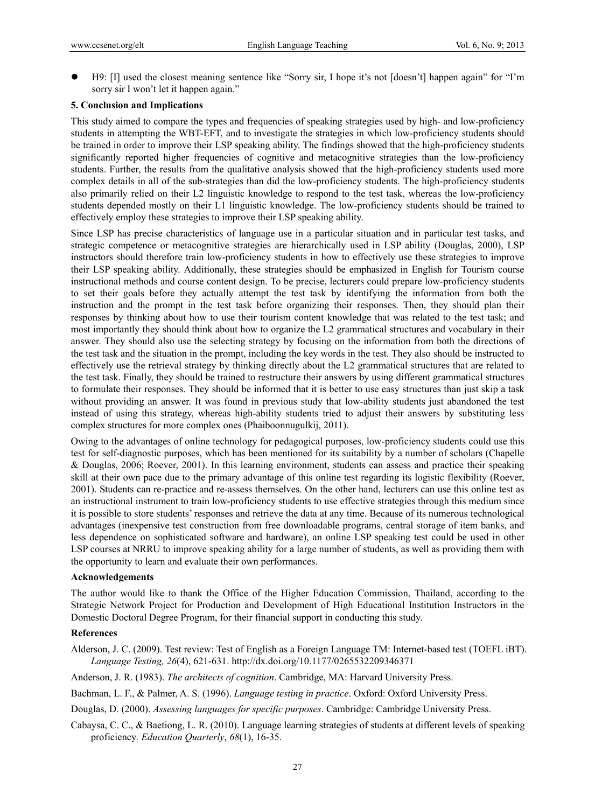H9: [I] used the closest meaning sentence like "Sorry sir, I hope it's not [doesn't] happen again" for "I'm sorry sir I won't let it happen again."

### **5. Conclusion and Implications**

This study aimed to compare the types and frequencies of speaking strategies used by high- and low-proficiency students in attempting the WBT-EFT, and to investigate the strategies in which low-proficiency students should be trained in order to improve their LSP speaking ability. The findings showed that the high-proficiency students significantly reported higher frequencies of cognitive and metacognitive strategies than the low-proficiency students. Further, the results from the qualitative analysis showed that the high-proficiency students used more complex details in all of the sub-strategies than did the low-proficiency students. The high-proficiency students also primarily relied on their L2 linguistic knowledge to respond to the test task, whereas the low-proficiency students depended mostly on their L1 linguistic knowledge. The low-proficiency students should be trained to effectively employ these strategies to improve their LSP speaking ability.

Since LSP has precise characteristics of language use in a particular situation and in particular test tasks, and strategic competence or metacognitive strategies are hierarchically used in LSP ability (Douglas, 2000), LSP instructors should therefore train low-proficiency students in how to effectively use these strategies to improve their LSP speaking ability. Additionally, these strategies should be emphasized in English for Tourism course instructional methods and course content design. To be precise, lecturers could prepare low-proficiency students to set their goals before they actually attempt the test task by identifying the information from both the instruction and the prompt in the test task before organizing their responses. Then, they should plan their responses by thinking about how to use their tourism content knowledge that was related to the test task; and most importantly they should think about how to organize the L2 grammatical structures and vocabulary in their answer. They should also use the selecting strategy by focusing on the information from both the directions of the test task and the situation in the prompt, including the key words in the test. They also should be instructed to effectively use the retrieval strategy by thinking directly about the L2 grammatical structures that are related to the test task. Finally, they should be trained to restructure their answers by using different grammatical structures to formulate their responses. They should be informed that it is better to use easy structures than just skip a task without providing an answer. It was found in previous study that low-ability students just abandoned the test instead of using this strategy, whereas high-ability students tried to adjust their answers by substituting less complex structures for more complex ones (Phaiboonnugulkij, 2011).

Owing to the advantages of online technology for pedagogical purposes, low-proficiency students could use this test for self-diagnostic purposes, which has been mentioned for its suitability by a number of scholars (Chapelle & Douglas, 2006; Roever, 2001). In this learning environment, students can assess and practice their speaking skill at their own pace due to the primary advantage of this online test regarding its logistic flexibility (Roever, 2001). Students can re-practice and re-assess themselves. On the other hand, lecturers can use this online test as an instructional instrument to train low-proficiency students to use effective strategies through this medium since it is possible to store students' responses and retrieve the data at any time. Because of its numerous technological advantages (inexpensive test construction from free downloadable programs, central storage of item banks, and less dependence on sophisticated software and hardware), an online LSP speaking test could be used in other LSP courses at NRRU to improve speaking ability for a large number of students, as well as providing them with the opportunity to learn and evaluate their own performances.

#### **Acknowledgements**

The author would like to thank the Office of the Higher Education Commission, Thailand, according to the Strategic Network Project for Production and Development of High Educational Institution Instructors in the Domestic Doctoral Degree Program, for their financial support in conducting this study.

### **References**

- Alderson, J. C. (2009). Test review: Test of English as a Foreign Language TM: Internet-based test (TOEFL iBT). *Language Testing, 26*(4), 621-631. http://dx.doi.org/10.1177/0265532209346371
- Anderson, J. R. (1983). *The architects of cognition*. Cambridge, MA: Harvard University Press.
- Bachman, L. F., & Palmer, A. S. (1996). *Language testing in practice*. Oxford: Oxford University Press.
- Douglas, D. (2000). *Assessing languages for specific purposes*. Cambridge: Cambridge University Press.
- Cabaysa, C. C., & Baetiong, L. R. (2010). Language learning strategies of students at different levels of speaking proficiency*. Education Quarterly*, *68*(1), 16-35.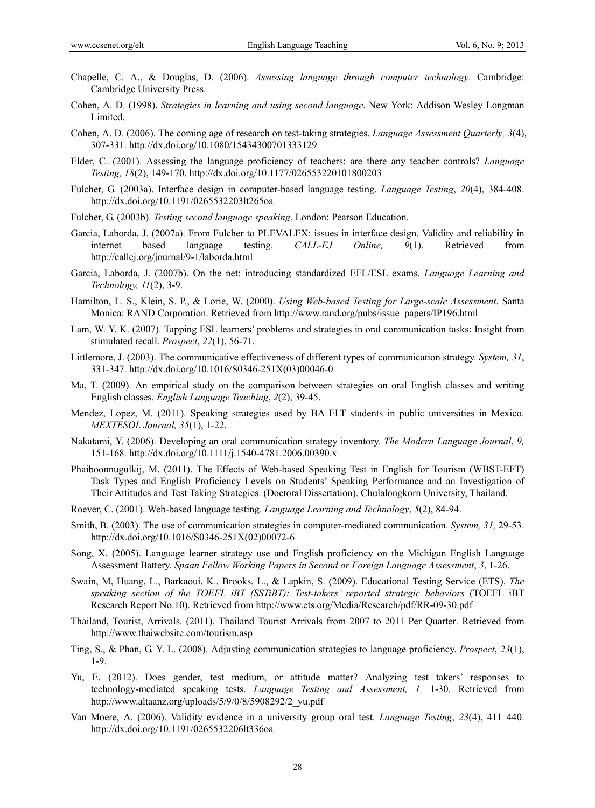- Chapelle, C. A., & Douglas, D. (2006). *Assessing language through computer technology*. Cambridge: Cambridge University Press.
- Cohen, A. D. (1998). *Strategies in learning and using second language*. New York: Addison Wesley Longman Limited.
- Cohen, A. D. (2006). The coming age of research on test-taking strategies. *Language Assessment Quarterly, 3*(4), 307-331. http://dx.doi.org/10.1080/15434300701333129
- Elder, C. (2001). Assessing the language proficiency of teachers: are there any teacher controls? *Language Testing, 18*(2), 149-170. http://dx.doi.org/10.1177/026553220101800203
- Fulcher, G. (2003a). Interface design in computer-based language testing. *Language Testing*, *20*(4), 384-408. http://dx.doi.org/10.1191/0265532203lt265oa
- Fulcher, G. (2003b). *Testing second language speaking*. London: Pearson Education.
- Garcia, Laborda, J. (2007a). From Fulcher to PLEVALEX: issues in interface design, Validity and reliability in internet based language testing. *CALL-EJ Online, 9*(1). Retrieved from http://callej.org/journal/9-1/laborda.html
- Garcia, Laborda, J. (2007b). On the net: introducing standardized EFL/ESL exams. *Language Learning and Technology, 11*(2), 3-9.
- Hamilton, L. S., Klein, S. P., & Lorie, W. (2000). *Using Web-based Testing for Large-scale Assessment*. Santa Monica: RAND Corporation. Retrieved from http://www.rand.org/pubs/issue\_papers/IP196.html
- Lam, W. Y. K. (2007). Tapping ESL learners' problems and strategies in oral communication tasks: Insight from stimulated recall. *Prospect*, *22*(1), 56-71.
- Littlemore, J. (2003). The communicative effectiveness of different types of communication strategy. *System, 31*, 331-347. http://dx.doi.org/10.1016/S0346-251X(03)00046-0
- Ma, T. (2009). An empirical study on the comparison between strategies on oral English classes and writing English classes. *English Language Teaching*, *2*(2), 39-45.
- Mendez, Lopez, M. (2011). Speaking strategies used by BA ELT students in public universities in Mexico. *MEXTESOL Journal, 35*(1), 1-22.
- Nakatami, Y. (2006). Developing an oral communication strategy inventory. *The Modern Language Journal*, *9,* 151-168. http://dx.doi.org/10.1111/j.1540-4781.2006.00390.x
- Phaiboonnugulkij, M. (2011). The Effects of Web-based Speaking Test in English for Tourism (WBST-EFT) Task Types and English Proficiency Levels on Students' Speaking Performance and an Investigation of Their Attitudes and Test Taking Strategies. (Doctoral Dissertation). Chulalongkorn University, Thailand.
- Roever, C. (2001). Web-based language testing. *Language Learning and Technology*, *5*(2), 84-94.
- Smith, B. (2003). The use of communication strategies in computer-mediated communication. *System, 31,* 29-53. http://dx.doi.org/10.1016/S0346-251X(02)00072-6
- Song, X. (2005). Language learner strategy use and English proficiency on the Michigan English Language Assessment Battery. *Spaan Fellow Working Papers in Second or Foreign Language Assessment*, *3*, 1-26.
- Swain, M, Huang, L., Barkaoui, K., Brooks, L., & Lapkin, S. (2009). Educational Testing Service (ETS). *The speaking section of the TOEFL iBT (SSTiBT): Test-takers' reported strategic behaviors* (TOEFL iBT Research Report No.10). Retrieved from http://www.ets.org/Media/Research/pdf/RR-09-30.pdf
- Thailand, Tourist, Arrivals. (2011). Thailand Tourist Arrivals from 2007 to 2011 Per Quarter. Retrieved from http://www.thaiwebsite.com/tourism.asp
- Ting, S., & Phan, G. Y. L. (2008). Adjusting communication strategies to language proficiency. *Prospect*, *23*(1), 1-9.
- Yu, E. (2012). Does gender, test medium, or attitude matter? Analyzing test takers' responses to technology-mediated speaking tests. *Language Testing and Assessment, 1,* 1-30*.* Retrieved from http://www.altaanz.org/uploads/5/9/0/8/5908292/2\_yu.pdf
- Van Moere, A. (2006). Validity evidence in a university group oral test. *Language Testing*, *23*(4), 411–440. http://dx.doi.org/10.1191/0265532206lt336oa